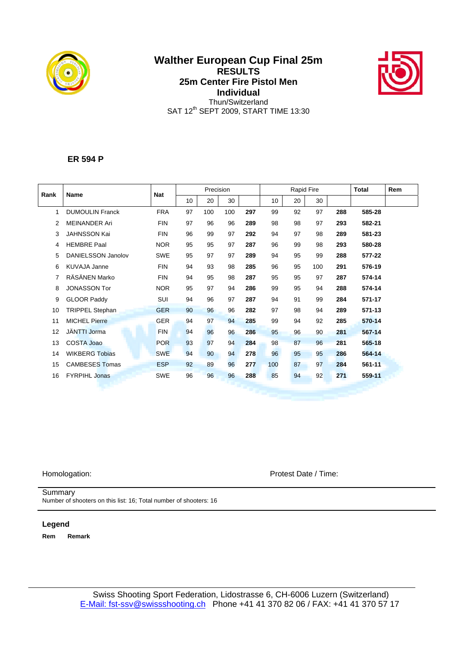

# **Walther European Cup Final 25m RESULTS 25m Center Fire Pistol Men Individual**  Thun/Switzerland SAT 12<sup>th</sup> SEPT 2009, START TIME 13:30



## **ER 594 P**

| Rank | <b>Name</b>            | <b>Nat</b> |    | Precision |     |     |     | Rapid Fire |     | <b>Total</b> | Rem    |  |
|------|------------------------|------------|----|-----------|-----|-----|-----|------------|-----|--------------|--------|--|
|      |                        |            | 10 | 20        | 30  |     | 10  | 20         | 30  |              |        |  |
| 1    | <b>DUMOULIN Franck</b> | <b>FRA</b> | 97 | 100       | 100 | 297 | 99  | 92         | 97  | 288          | 585-28 |  |
| 2    | <b>MEINANDER Ari</b>   | <b>FIN</b> | 97 | 96        | 96  | 289 | 98  | 98         | 97  | 293          | 582-21 |  |
| 3    | <b>JAHNSSON Kai</b>    | <b>FIN</b> | 96 | 99        | 97  | 292 | 94  | 97         | 98  | 289          | 581-23 |  |
| 4    | <b>HEMBRE Paal</b>     | <b>NOR</b> | 95 | 95        | 97  | 287 | 96  | 99         | 98  | 293          | 580-28 |  |
| 5    | DANIELSSON Janolov     | <b>SWE</b> | 95 | 97        | 97  | 289 | 94  | 95         | 99  | 288          | 577-22 |  |
| 6    | <b>KUVAJA Janne</b>    | <b>FIN</b> | 94 | 93        | 98  | 285 | 96  | 95         | 100 | 291          | 576-19 |  |
| 7    | RÄSÄNEN Marko          | <b>FIN</b> | 94 | 95        | 98  | 287 | 95  | 95         | 97  | 287          | 574-14 |  |
| 8    | <b>JONASSON Tor</b>    | <b>NOR</b> | 95 | 97        | 94  | 286 | 99  | 95         | 94  | 288          | 574-14 |  |
| 9    | <b>GLOOR Paddy</b>     | SUI        | 94 | 96        | 97  | 287 | 94  | 91         | 99  | 284          | 571-17 |  |
| 10   | TRIPPEL Stephan        | <b>GER</b> | 90 | 96        | 96  | 282 | 97  | 98         | 94  | 289          | 571-13 |  |
| 11   | <b>MICHEL Pierre</b>   | <b>GER</b> | 94 | 97        | 94  | 285 | 99  | 94         | 92  | 285          | 570-14 |  |
| 12   | <b>JÄNTTI Jorma</b>    | <b>FIN</b> | 94 | 96        | 96  | 286 | 95  | 96         | 90  | 281          | 567-14 |  |
| 13   | COSTA Joao             | <b>POR</b> | 93 | 97        | 94  | 284 | 98  | 87         | 96  | 281          | 565-18 |  |
| 14   | <b>WIKBERG Tobias</b>  | <b>SWE</b> | 94 | 90        | 94  | 278 | 96  | 95         | 95  | 286          | 564-14 |  |
| 15   | <b>CAMBESES Tomas</b>  | <b>ESP</b> | 92 | 89        | 96  | 277 | 100 | 87         | 97  | 284          | 561-11 |  |
| 16   | <b>FYRPIHL Jonas</b>   | <b>SWE</b> | 96 | 96        | 96  | 288 | 85  | 94         | 92  | 271          | 559-11 |  |
|      |                        |            |    |           |     |     |     |            |     |              |        |  |

Homologation: Protest Date / Time:

### **Summary**

Number of shooters on this list: 16; Total number of shooters: 16

## **Legend**

**Rem Remark**